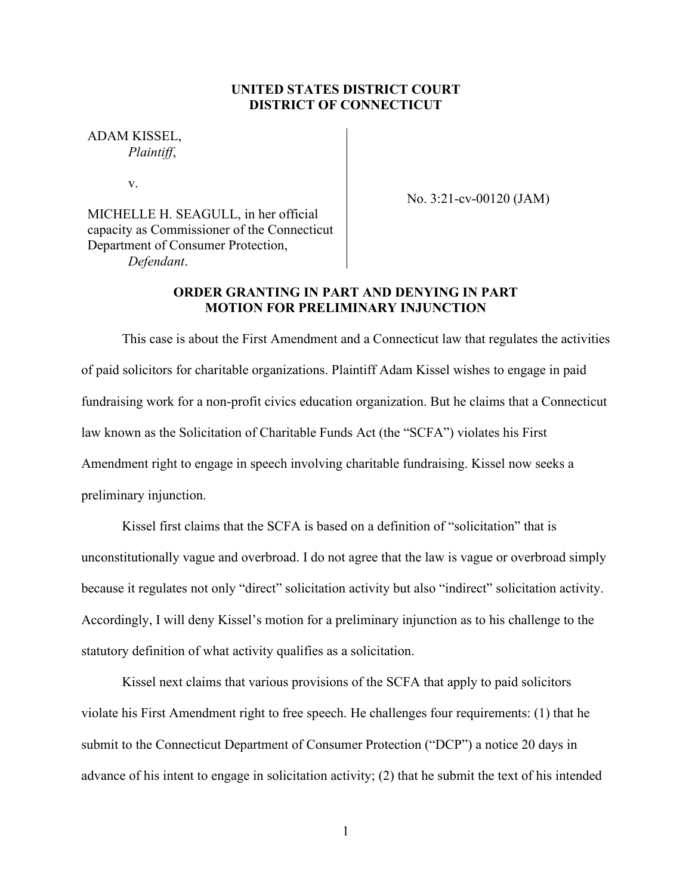# **UNITED STATES DISTRICT COURT DISTRICT OF CONNECTICUT**

ADAM KISSEL, *Plaintiff*,

v.

No. 3:21-cv-00120 (JAM)

MICHELLE H. SEAGULL, in her official capacity as Commissioner of the Connecticut Department of Consumer Protection, *Defendant*.

# **ORDER GRANTING IN PART AND DENYING IN PART MOTION FOR PRELIMINARY INJUNCTION**

This case is about the First Amendment and a Connecticut law that regulates the activities of paid solicitors for charitable organizations. Plaintiff Adam Kissel wishes to engage in paid fundraising work for a non-profit civics education organization. But he claims that a Connecticut law known as the Solicitation of Charitable Funds Act (the "SCFA") violates his First Amendment right to engage in speech involving charitable fundraising. Kissel now seeks a preliminary injunction.

Kissel first claims that the SCFA is based on a definition of "solicitation" that is unconstitutionally vague and overbroad. I do not agree that the law is vague or overbroad simply because it regulates not only "direct" solicitation activity but also "indirect" solicitation activity. Accordingly, I will deny Kissel's motion for a preliminary injunction as to his challenge to the statutory definition of what activity qualifies as a solicitation.

Kissel next claims that various provisions of the SCFA that apply to paid solicitors violate his First Amendment right to free speech. He challenges four requirements: (1) that he submit to the Connecticut Department of Consumer Protection ("DCP") a notice 20 days in advance of his intent to engage in solicitation activity; (2) that he submit the text of his intended

1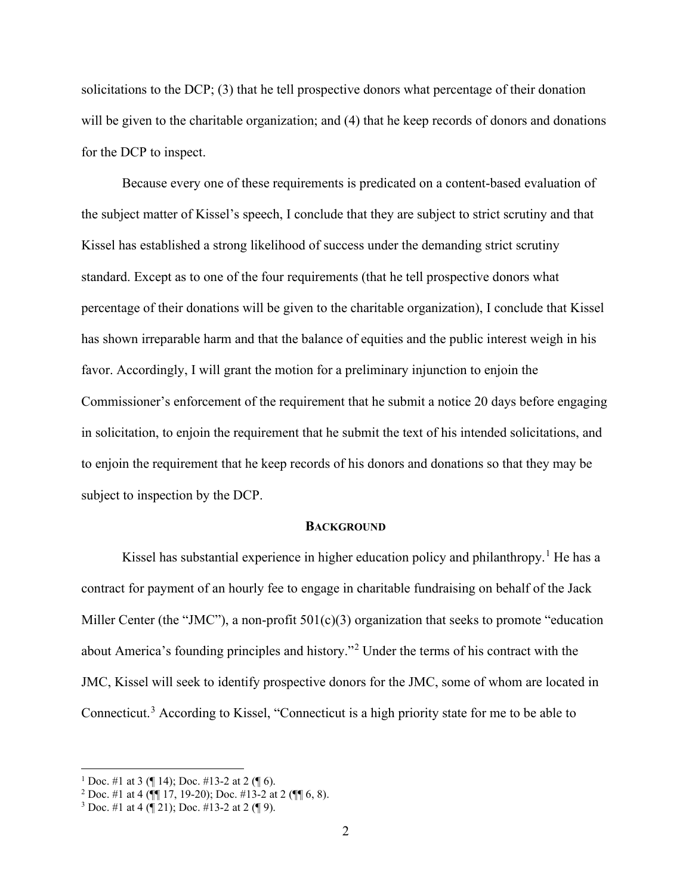solicitations to the DCP; (3) that he tell prospective donors what percentage of their donation will be given to the charitable organization; and (4) that he keep records of donors and donations for the DCP to inspect.

Because every one of these requirements is predicated on a content-based evaluation of the subject matter of Kissel's speech, I conclude that they are subject to strict scrutiny and that Kissel has established a strong likelihood of success under the demanding strict scrutiny standard. Except as to one of the four requirements (that he tell prospective donors what percentage of their donations will be given to the charitable organization), I conclude that Kissel has shown irreparable harm and that the balance of equities and the public interest weigh in his favor. Accordingly, I will grant the motion for a preliminary injunction to enjoin the Commissioner's enforcement of the requirement that he submit a notice 20 days before engaging in solicitation, to enjoin the requirement that he submit the text of his intended solicitations, and to enjoin the requirement that he keep records of his donors and donations so that they may be subject to inspection by the DCP.

#### **BACKGROUND**

Kissel has substantial experience in higher education policy and philanthropy.<sup>1</sup> He has a contract for payment of an hourly fee to engage in charitable fundraising on behalf of the Jack Miller Center (the "JMC"), a non-profit 501(c)(3) organization that seeks to promote "education about America's founding principles and history."<sup>2</sup> Under the terms of his contract with the JMC, Kissel will seek to identify prospective donors for the JMC, some of whom are located in Connecticut.<sup>3</sup> According to Kissel, "Connecticut is a high priority state for me to be able to

<sup>&</sup>lt;sup>1</sup> Doc. #1 at 3 (¶ 14); Doc. #13-2 at 2 (¶ 6).

<sup>&</sup>lt;sup>2</sup> Doc. #1 at 4 ( $\sqrt{\P(}17, 19{\text -}20)$ ; Doc. #13-2 at 2 ( $\P($  $| 6, 8)$ .

<sup>&</sup>lt;sup>3</sup> Doc. #1 at 4  $(\sqrt{21})$ ; Doc. #13-2 at 2  $(\sqrt{9})$ .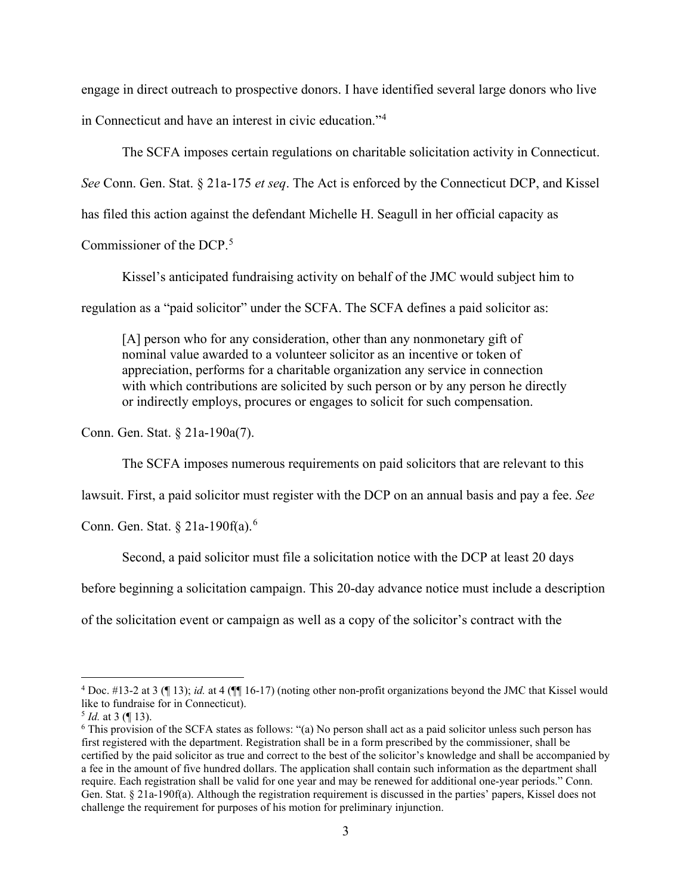engage in direct outreach to prospective donors. I have identified several large donors who live in Connecticut and have an interest in civic education."<sup>4</sup>

The SCFA imposes certain regulations on charitable solicitation activity in Connecticut.

*See* Conn. Gen. Stat. § 21a-175 *et seq*. The Act is enforced by the Connecticut DCP, and Kissel

has filed this action against the defendant Michelle H. Seagull in her official capacity as

Commissioner of the DCP.<sup>5</sup>

Kissel's anticipated fundraising activity on behalf of the JMC would subject him to

regulation as a "paid solicitor" under the SCFA. The SCFA defines a paid solicitor as:

[A] person who for any consideration, other than any nonmonetary gift of nominal value awarded to a volunteer solicitor as an incentive or token of appreciation, performs for a charitable organization any service in connection with which contributions are solicited by such person or by any person he directly or indirectly employs, procures or engages to solicit for such compensation.

Conn. Gen. Stat. § 21a-190a(7).

The SCFA imposes numerous requirements on paid solicitors that are relevant to this

lawsuit. First, a paid solicitor must register with the DCP on an annual basis and pay a fee. *See* 

Conn. Gen. Stat. § 21a-190f(a).<sup>6</sup>

Second, a paid solicitor must file a solicitation notice with the DCP at least 20 days

before beginning a solicitation campaign. This 20-day advance notice must include a description

of the solicitation event or campaign as well as a copy of the solicitor's contract with the

<sup>4</sup> Doc. #13-2 at 3 (¶ 13); *id.* at 4 (¶¶ 16-17) (noting other non-profit organizations beyond the JMC that Kissel would like to fundraise for in Connecticut).

<sup>5</sup> *Id.* at 3 (¶ 13).

 $6$  This provision of the SCFA states as follows: "(a) No person shall act as a paid solicitor unless such person has first registered with the department. Registration shall be in a form prescribed by the commissioner, shall be certified by the paid solicitor as true and correct to the best of the solicitor's knowledge and shall be accompanied by a fee in the amount of five hundred dollars. The application shall contain such information as the department shall require. Each registration shall be valid for one year and may be renewed for additional one-year periods." Conn. Gen. Stat. § 21a-190f(a). Although the registration requirement is discussed in the parties' papers, Kissel does not challenge the requirement for purposes of his motion for preliminary injunction.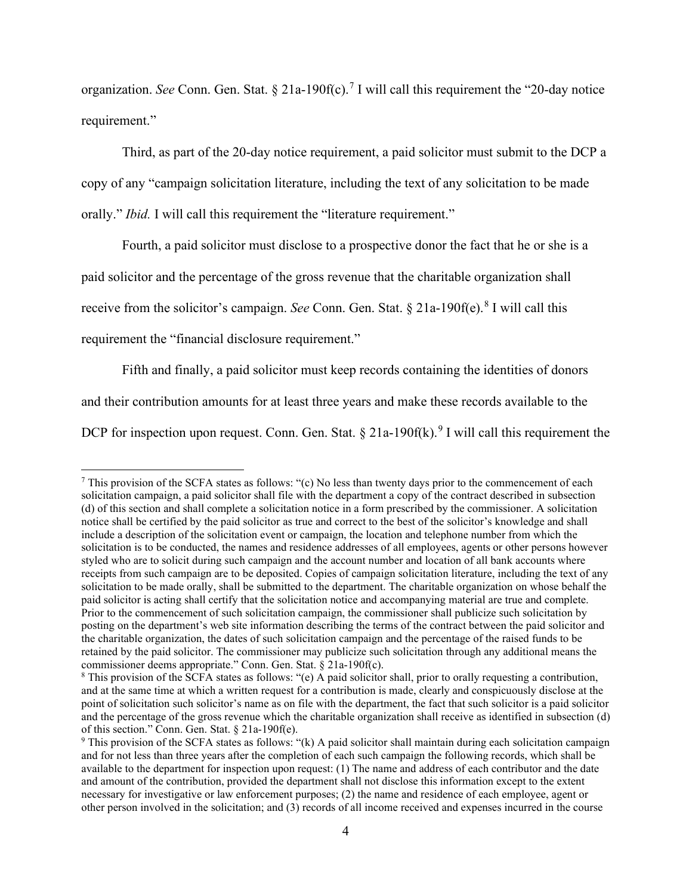organization. *See* Conn. Gen. Stat. § 21a-190f(c).<sup>7</sup> I will call this requirement the "20-day notice requirement."

Third, as part of the 20-day notice requirement, a paid solicitor must submit to the DCP a copy of any "campaign solicitation literature, including the text of any solicitation to be made orally." *Ibid.* I will call this requirement the "literature requirement."

Fourth, a paid solicitor must disclose to a prospective donor the fact that he or she is a

paid solicitor and the percentage of the gross revenue that the charitable organization shall

receive from the solicitor's campaign. *See* Conn. Gen. Stat. § 21a-190f(e).<sup>8</sup> I will call this

requirement the "financial disclosure requirement."

Fifth and finally, a paid solicitor must keep records containing the identities of donors

and their contribution amounts for at least three years and make these records available to the

DCP for inspection upon request. Conn. Gen. Stat.  $\S 21a-190f(k)$ .<sup>9</sup> I will call this requirement the

<sup>&</sup>lt;sup>7</sup> This provision of the SCFA states as follows: "(c) No less than twenty days prior to the commencement of each solicitation campaign, a paid solicitor shall file with the department a copy of the contract described in subsection (d) of this section and shall complete a solicitation notice in a form prescribed by the commissioner. A solicitation notice shall be certified by the paid solicitor as true and correct to the best of the solicitor's knowledge and shall include a description of the solicitation event or campaign, the location and telephone number from which the solicitation is to be conducted, the names and residence addresses of all employees, agents or other persons however styled who are to solicit during such campaign and the account number and location of all bank accounts where receipts from such campaign are to be deposited. Copies of campaign solicitation literature, including the text of any solicitation to be made orally, shall be submitted to the department. The charitable organization on whose behalf the paid solicitor is acting shall certify that the solicitation notice and accompanying material are true and complete. Prior to the commencement of such solicitation campaign, the commissioner shall publicize such solicitation by posting on the department's web site information describing the terms of the contract between the paid solicitor and the charitable organization, the dates of such solicitation campaign and the percentage of the raised funds to be retained by the paid solicitor. The commissioner may publicize such solicitation through any additional means the commissioner deems appropriate." Conn. Gen. Stat. § 21a-190f(c).

<sup>&</sup>lt;sup>8</sup> This provision of the SCFA states as follows: "(e) A paid solicitor shall, prior to orally requesting a contribution, and at the same time at which a written request for a contribution is made, clearly and conspicuously disclose at the point of solicitation such solicitor's name as on file with the department, the fact that such solicitor is a paid solicitor and the percentage of the gross revenue which the charitable organization shall receive as identified in subsection (d) of this section." Conn. Gen. Stat. § 21a-190f(e).

<sup>9</sup> This provision of the SCFA states as follows: "(k) A paid solicitor shall maintain during each solicitation campaign and for not less than three years after the completion of each such campaign the following records, which shall be available to the department for inspection upon request: (1) The name and address of each contributor and the date and amount of the contribution, provided the department shall not disclose this information except to the extent necessary for investigative or law enforcement purposes; (2) the name and residence of each employee, agent or other person involved in the solicitation; and (3) records of all income received and expenses incurred in the course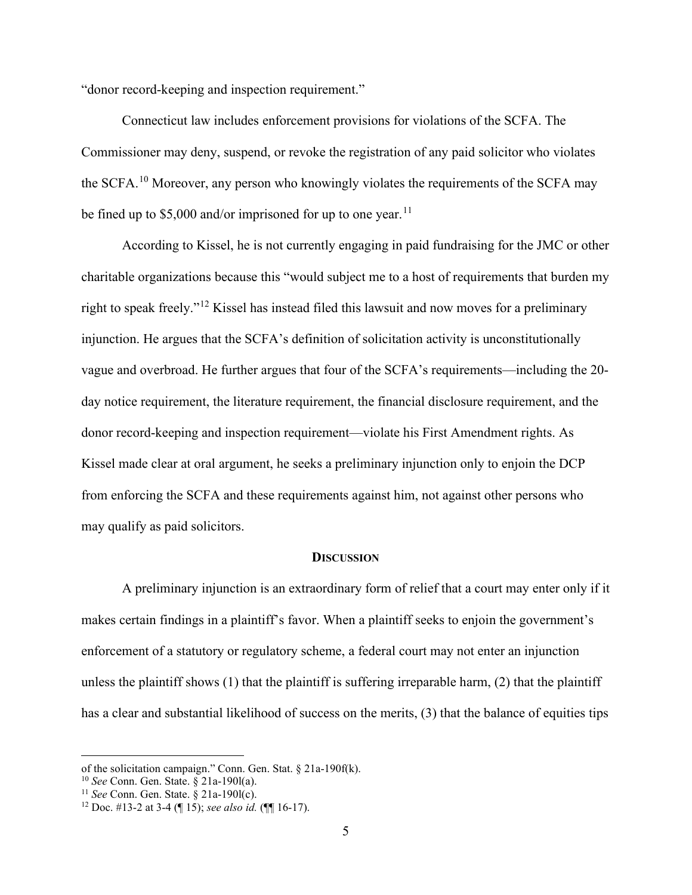"donor record-keeping and inspection requirement."

Connecticut law includes enforcement provisions for violations of the SCFA. The Commissioner may deny, suspend, or revoke the registration of any paid solicitor who violates the SCFA.<sup>10</sup> Moreover, any person who knowingly violates the requirements of the SCFA may be fined up to  $$5,000$  and/or imprisoned for up to one year.<sup>11</sup>

According to Kissel, he is not currently engaging in paid fundraising for the JMC or other charitable organizations because this "would subject me to a host of requirements that burden my right to speak freely."<sup>12</sup> Kissel has instead filed this lawsuit and now moves for a preliminary injunction. He argues that the SCFA's definition of solicitation activity is unconstitutionally vague and overbroad. He further argues that four of the SCFA's requirements—including the 20 day notice requirement, the literature requirement, the financial disclosure requirement, and the donor record-keeping and inspection requirement—violate his First Amendment rights. As Kissel made clear at oral argument, he seeks a preliminary injunction only to enjoin the DCP from enforcing the SCFA and these requirements against him, not against other persons who may qualify as paid solicitors.

#### **DISCUSSION**

A preliminary injunction is an extraordinary form of relief that a court may enter only if it makes certain findings in a plaintiff's favor. When a plaintiff seeks to enjoin the government's enforcement of a statutory or regulatory scheme, a federal court may not enter an injunction unless the plaintiff shows (1) that the plaintiff is suffering irreparable harm, (2) that the plaintiff has a clear and substantial likelihood of success on the merits, (3) that the balance of equities tips

of the solicitation campaign." Conn. Gen. Stat. § 21a-190f(k).

<sup>10</sup> *See* Conn. Gen. State. § 21a-190l(a).

<sup>11</sup> *See* Conn. Gen. State. § 21a-190l(c).

<sup>12</sup> Doc. #13-2 at 3-4 (¶ 15); *see also id.* (¶¶ 16-17).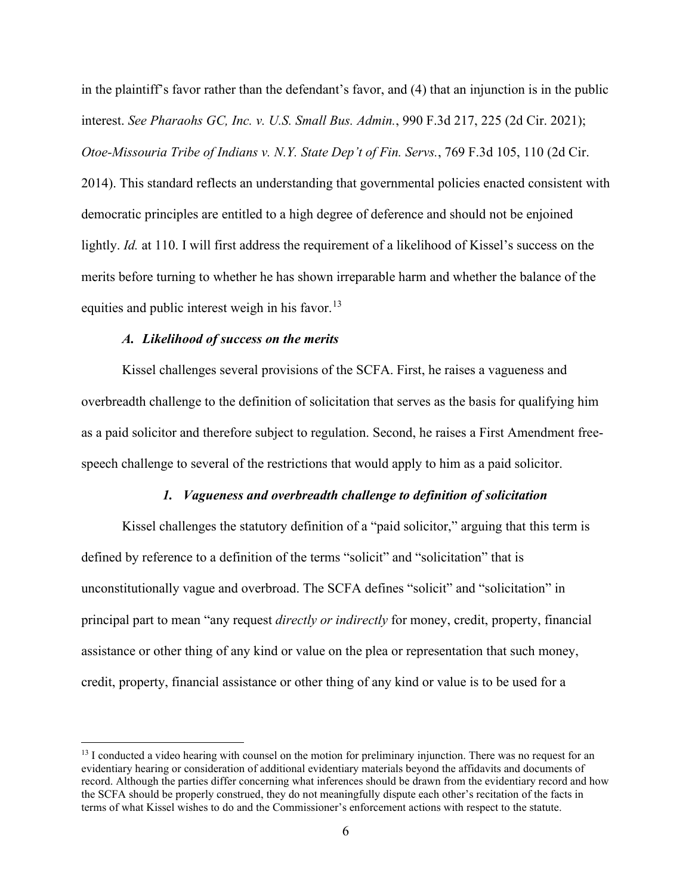in the plaintiff's favor rather than the defendant's favor, and (4) that an injunction is in the public interest. *See Pharaohs GC, Inc. v. U.S. Small Bus. Admin.*, 990 F.3d 217, 225 (2d Cir. 2021); *Otoe-Missouria Tribe of Indians v. N.Y. State Dep't of Fin. Servs.*, 769 F.3d 105, 110 (2d Cir. 2014). This standard reflects an understanding that governmental policies enacted consistent with democratic principles are entitled to a high degree of deference and should not be enjoined lightly. *Id.* at 110. I will first address the requirement of a likelihood of Kissel's success on the merits before turning to whether he has shown irreparable harm and whether the balance of the equities and public interest weigh in his favor.<sup>13</sup>

### *A. Likelihood of success on the merits*

Kissel challenges several provisions of the SCFA. First, he raises a vagueness and overbreadth challenge to the definition of solicitation that serves as the basis for qualifying him as a paid solicitor and therefore subject to regulation. Second, he raises a First Amendment freespeech challenge to several of the restrictions that would apply to him as a paid solicitor.

#### *1. Vagueness and overbreadth challenge to definition of solicitation*

Kissel challenges the statutory definition of a "paid solicitor," arguing that this term is defined by reference to a definition of the terms "solicit" and "solicitation" that is unconstitutionally vague and overbroad. The SCFA defines "solicit" and "solicitation" in principal part to mean "any request *directly or indirectly* for money, credit, property, financial assistance or other thing of any kind or value on the plea or representation that such money, credit, property, financial assistance or other thing of any kind or value is to be used for a

 $13$  I conducted a video hearing with counsel on the motion for preliminary injunction. There was no request for an evidentiary hearing or consideration of additional evidentiary materials beyond the affidavits and documents of record. Although the parties differ concerning what inferences should be drawn from the evidentiary record and how the SCFA should be properly construed, they do not meaningfully dispute each other's recitation of the facts in terms of what Kissel wishes to do and the Commissioner's enforcement actions with respect to the statute.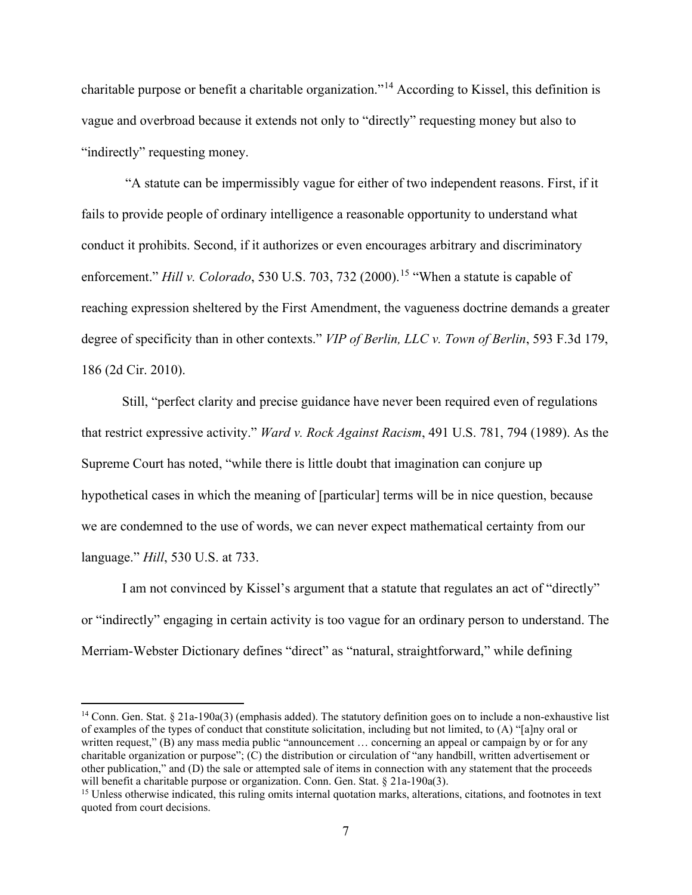charitable purpose or benefit a charitable organization."<sup>14</sup> According to Kissel, this definition is vague and overbroad because it extends not only to "directly" requesting money but also to "indirectly" requesting money.

"A statute can be impermissibly vague for either of two independent reasons. First, if it fails to provide people of ordinary intelligence a reasonable opportunity to understand what conduct it prohibits. Second, if it authorizes or even encourages arbitrary and discriminatory enforcement." *Hill v. Colorado*, 530 U.S. 703, 732 (2000).<sup>15</sup> "When a statute is capable of reaching expression sheltered by the First Amendment, the vagueness doctrine demands a greater degree of specificity than in other contexts." *VIP of Berlin, LLC v. Town of Berlin*, 593 F.3d 179, 186 (2d Cir. 2010).

Still, "perfect clarity and precise guidance have never been required even of regulations that restrict expressive activity." *Ward v. Rock Against Racism*, 491 U.S. 781, 794 (1989). As the Supreme Court has noted, "while there is little doubt that imagination can conjure up hypothetical cases in which the meaning of [particular] terms will be in nice question, because we are condemned to the use of words, we can never expect mathematical certainty from our language." *Hill*, 530 U.S. at 733.

I am not convinced by Kissel's argument that a statute that regulates an act of "directly" or "indirectly" engaging in certain activity is too vague for an ordinary person to understand. The Merriam-Webster Dictionary defines "direct" as "natural, straightforward," while defining

<sup>&</sup>lt;sup>14</sup> Conn. Gen. Stat. § 21a-190a(3) (emphasis added). The statutory definition goes on to include a non-exhaustive list of examples of the types of conduct that constitute solicitation, including but not limited, to (A) "[a]ny oral or written request," (B) any mass media public "announcement ... concerning an appeal or campaign by or for any charitable organization or purpose"; (C) the distribution or circulation of "any handbill, written advertisement or other publication," and (D) the sale or attempted sale of items in connection with any statement that the proceeds will benefit a charitable purpose or organization. Conn. Gen. Stat. § 21a-190a(3).

<sup>&</sup>lt;sup>15</sup> Unless otherwise indicated, this ruling omits internal quotation marks, alterations, citations, and footnotes in text quoted from court decisions.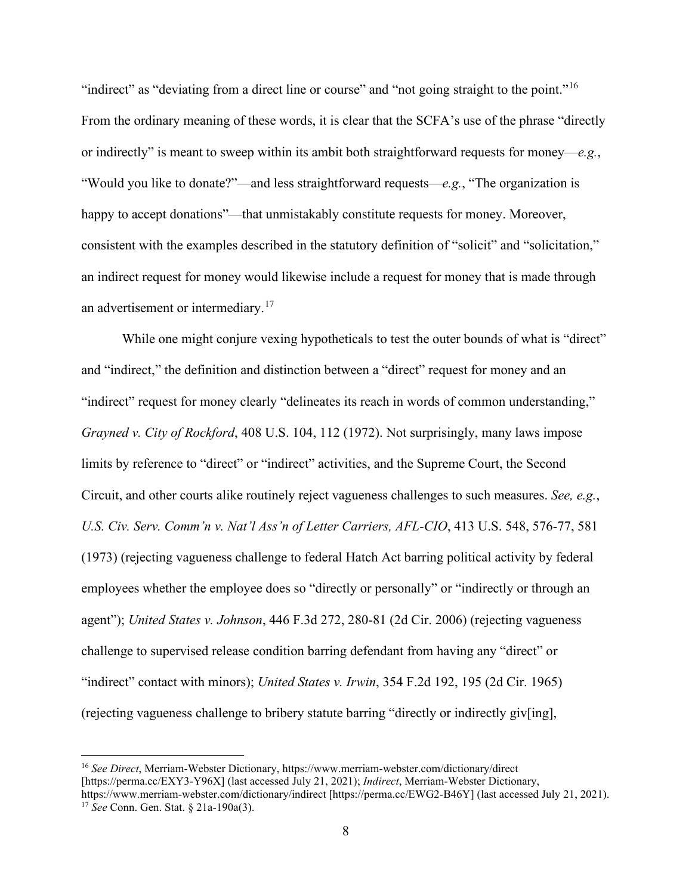"indirect" as "deviating from a direct line or course" and "not going straight to the point."<sup>16</sup> From the ordinary meaning of these words, it is clear that the SCFA's use of the phrase "directly or indirectly" is meant to sweep within its ambit both straightforward requests for money—*e.g.*, "Would you like to donate?"—and less straightforward requests—*e.g.*, "The organization is happy to accept donations"—that unmistakably constitute requests for money. Moreover, consistent with the examples described in the statutory definition of "solicit" and "solicitation," an indirect request for money would likewise include a request for money that is made through an advertisement or intermediary.<sup>17</sup>

While one might conjure vexing hypotheticals to test the outer bounds of what is "direct" and "indirect," the definition and distinction between a "direct" request for money and an "indirect" request for money clearly "delineates its reach in words of common understanding," *Grayned v. City of Rockford*, 408 U.S. 104, 112 (1972). Not surprisingly, many laws impose limits by reference to "direct" or "indirect" activities, and the Supreme Court, the Second Circuit, and other courts alike routinely reject vagueness challenges to such measures. *See, e.g.*, *U.S. Civ. Serv. Comm'n v. Nat'l Ass'n of Letter Carriers, AFL-CIO*, 413 U.S. 548, 576-77, 581 (1973) (rejecting vagueness challenge to federal Hatch Act barring political activity by federal employees whether the employee does so "directly or personally" or "indirectly or through an agent"); *United States v. Johnson*, 446 F.3d 272, 280-81 (2d Cir. 2006) (rejecting vagueness challenge to supervised release condition barring defendant from having any "direct" or "indirect" contact with minors); *United States v. Irwin*, 354 F.2d 192, 195 (2d Cir. 1965) (rejecting vagueness challenge to bribery statute barring "directly or indirectly giv[ing],

<sup>16</sup> *See Direct*, Merriam-Webster Dictionary, https://www.merriam-webster.com/dictionary/direct [https://perma.cc/EXY3-Y96X] (last accessed July 21, 2021); *Indirect*, Merriam-Webster Dictionary, https://www.merriam-webster.com/dictionary/indirect [https://perma.cc/EWG2-B46Y] (last accessed July 21, 2021). <sup>17</sup> *See* Conn. Gen. Stat. § 21a-190a(3).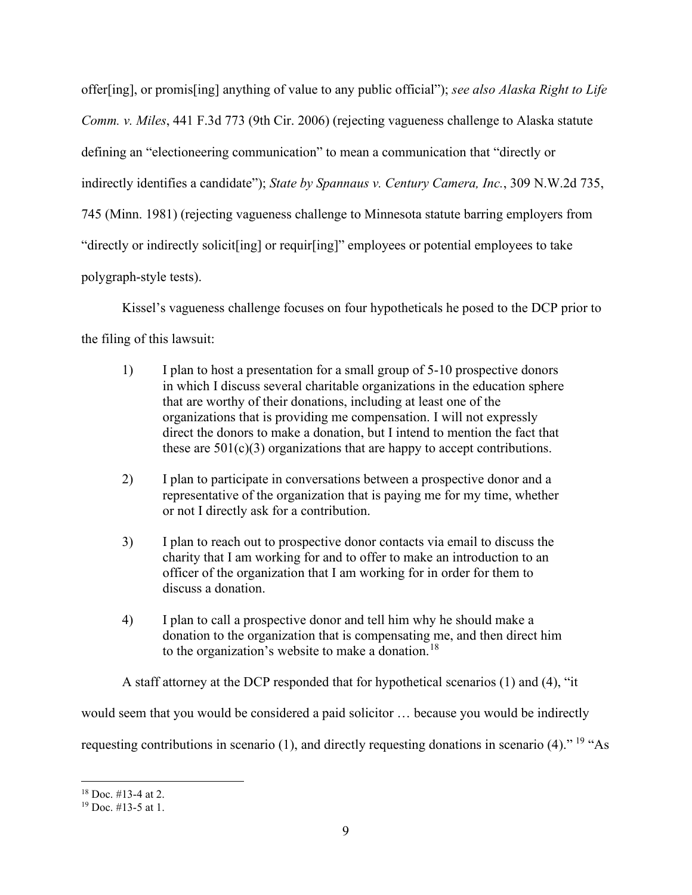offer[ing], or promis[ing] anything of value to any public official"); *see also Alaska Right to Life Comm. v. Miles*, 441 F.3d 773 (9th Cir. 2006) (rejecting vagueness challenge to Alaska statute defining an "electioneering communication" to mean a communication that "directly or indirectly identifies a candidate"); *State by Spannaus v. Century Camera, Inc.*, 309 N.W.2d 735, 745 (Minn. 1981) (rejecting vagueness challenge to Minnesota statute barring employers from "directly or indirectly solicit[ing] or requir[ing]" employees or potential employees to take polygraph-style tests).

Kissel's vagueness challenge focuses on four hypotheticals he posed to the DCP prior to the filing of this lawsuit:

- 1) I plan to host a presentation for a small group of 5-10 prospective donors in which I discuss several charitable organizations in the education sphere that are worthy of their donations, including at least one of the organizations that is providing me compensation. I will not expressly direct the donors to make a donation, but I intend to mention the fact that these are  $501(c)(3)$  organizations that are happy to accept contributions.
- 2) I plan to participate in conversations between a prospective donor and a representative of the organization that is paying me for my time, whether or not I directly ask for a contribution.
- 3) I plan to reach out to prospective donor contacts via email to discuss the charity that I am working for and to offer to make an introduction to an officer of the organization that I am working for in order for them to discuss a donation.
- 4) I plan to call a prospective donor and tell him why he should make a donation to the organization that is compensating me, and then direct him to the organization's website to make a donation.<sup>18</sup>

A staff attorney at the DCP responded that for hypothetical scenarios (1) and (4), "it would seem that you would be considered a paid solicitor … because you would be indirectly requesting contributions in scenario (1), and directly requesting donations in scenario (4)." <sup>19</sup> "As

 $18$  Doc. #13-4 at 2.

 $19$  Doc. #13-5 at 1.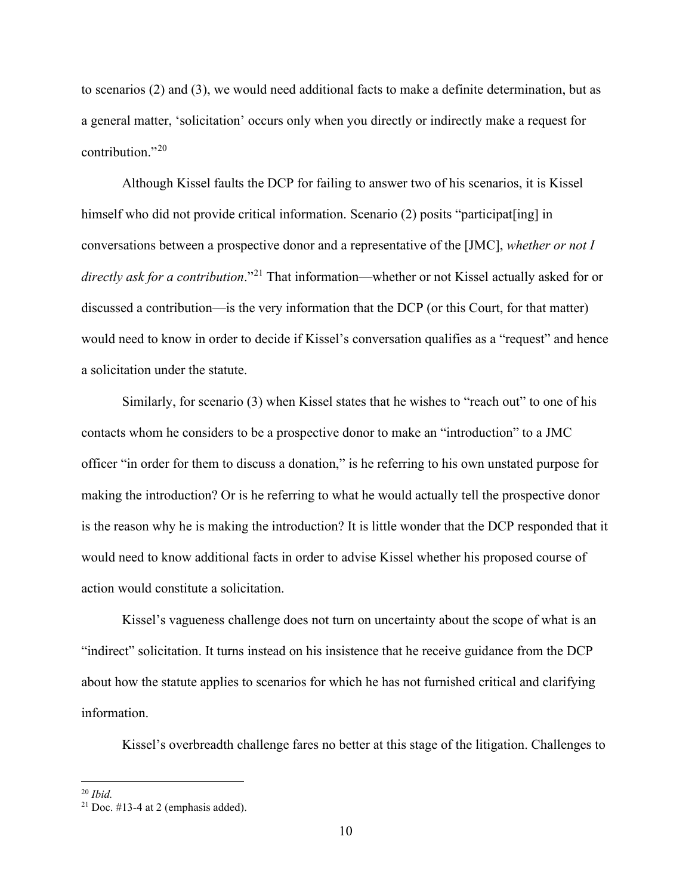to scenarios (2) and (3), we would need additional facts to make a definite determination, but as a general matter, 'solicitation' occurs only when you directly or indirectly make a request for contribution."<sup>20</sup>

Although Kissel faults the DCP for failing to answer two of his scenarios, it is Kissel himself who did not provide critical information. Scenario (2) posits "participat [ing] in conversations between a prospective donor and a representative of the [JMC], *whether or not I directly ask for a contribution*."<sup>21</sup> That information—whether or not Kissel actually asked for or discussed a contribution—is the very information that the DCP (or this Court, for that matter) would need to know in order to decide if Kissel's conversation qualifies as a "request" and hence a solicitation under the statute.

Similarly, for scenario (3) when Kissel states that he wishes to "reach out" to one of his contacts whom he considers to be a prospective donor to make an "introduction" to a JMC officer "in order for them to discuss a donation," is he referring to his own unstated purpose for making the introduction? Or is he referring to what he would actually tell the prospective donor is the reason why he is making the introduction? It is little wonder that the DCP responded that it would need to know additional facts in order to advise Kissel whether his proposed course of action would constitute a solicitation.

Kissel's vagueness challenge does not turn on uncertainty about the scope of what is an "indirect" solicitation. It turns instead on his insistence that he receive guidance from the DCP about how the statute applies to scenarios for which he has not furnished critical and clarifying information.

Kissel's overbreadth challenge fares no better at this stage of the litigation. Challenges to

<sup>20</sup> *Ibid.* 

 $21$  Doc. #13-4 at 2 (emphasis added).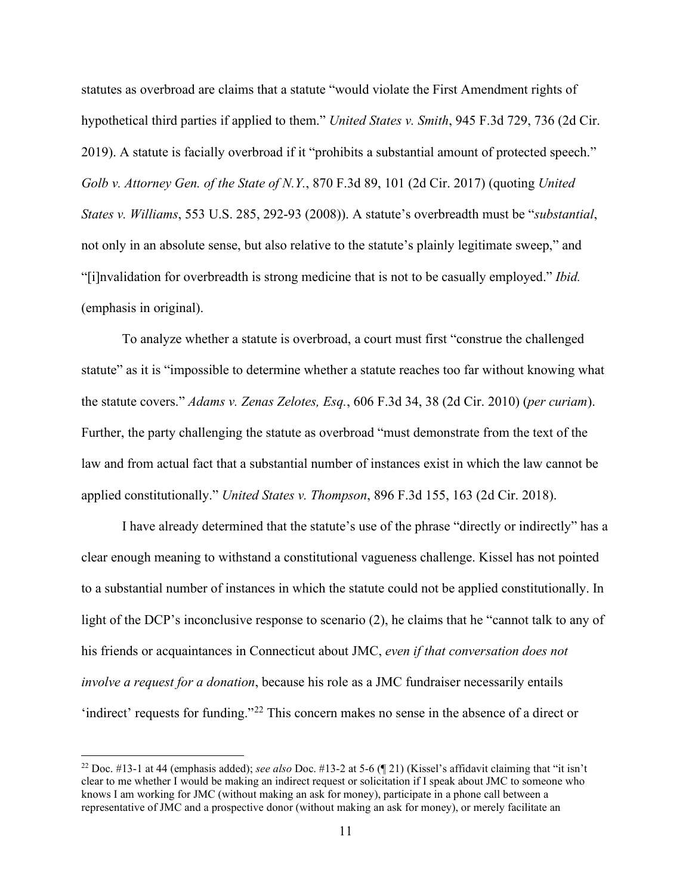statutes as overbroad are claims that a statute "would violate the First Amendment rights of hypothetical third parties if applied to them." *United States v. Smith*, 945 F.3d 729, 736 (2d Cir. 2019). A statute is facially overbroad if it "prohibits a substantial amount of protected speech." *Golb v. Attorney Gen. of the State of N.Y.*, 870 F.3d 89, 101 (2d Cir. 2017) (quoting *United States v. Williams*, 553 U.S. 285, 292-93 (2008)). A statute's overbreadth must be "*substantial*, not only in an absolute sense, but also relative to the statute's plainly legitimate sweep," and "[i]nvalidation for overbreadth is strong medicine that is not to be casually employed." *Ibid.*  (emphasis in original).

To analyze whether a statute is overbroad, a court must first "construe the challenged statute" as it is "impossible to determine whether a statute reaches too far without knowing what the statute covers." *Adams v. Zenas Zelotes, Esq.*, 606 F.3d 34, 38 (2d Cir. 2010) (*per curiam*). Further, the party challenging the statute as overbroad "must demonstrate from the text of the law and from actual fact that a substantial number of instances exist in which the law cannot be applied constitutionally." *United States v. Thompson*, 896 F.3d 155, 163 (2d Cir. 2018).

I have already determined that the statute's use of the phrase "directly or indirectly" has a clear enough meaning to withstand a constitutional vagueness challenge. Kissel has not pointed to a substantial number of instances in which the statute could not be applied constitutionally. In light of the DCP's inconclusive response to scenario (2), he claims that he "cannot talk to any of his friends or acquaintances in Connecticut about JMC, *even if that conversation does not involve a request for a donation*, because his role as a JMC fundraiser necessarily entails 'indirect' requests for funding."<sup>22</sup> This concern makes no sense in the absence of a direct or

<sup>&</sup>lt;sup>22</sup> Doc. #13-1 at 44 (emphasis added); *see also* Doc. #13-2 at 5-6 ( $\llbracket 21 \rrbracket$ ) (Kissel's affidavit claiming that "it isn't clear to me whether I would be making an indirect request or solicitation if I speak about JMC to someone who knows I am working for JMC (without making an ask for money), participate in a phone call between a representative of JMC and a prospective donor (without making an ask for money), or merely facilitate an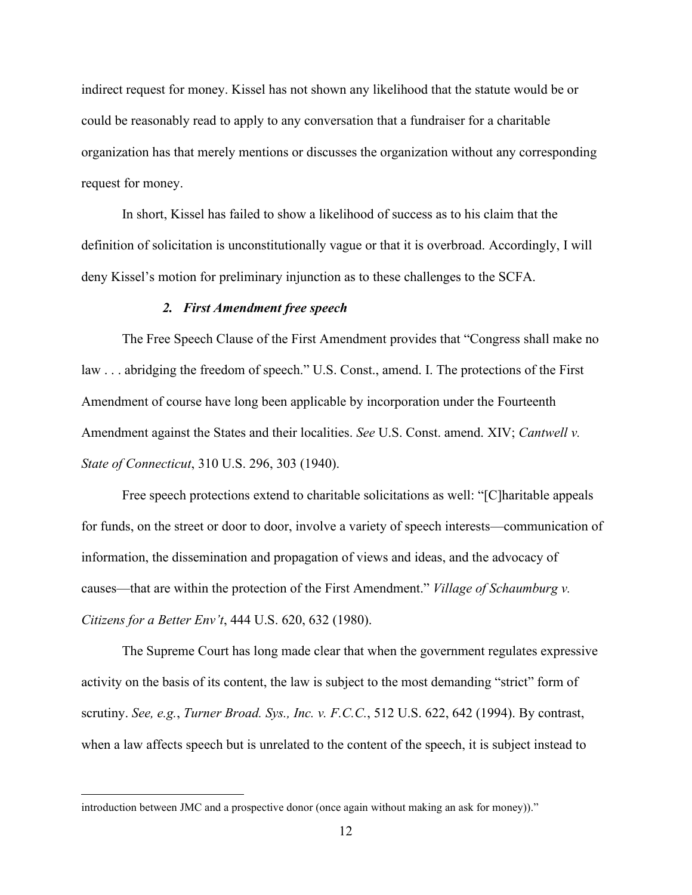indirect request for money. Kissel has not shown any likelihood that the statute would be or could be reasonably read to apply to any conversation that a fundraiser for a charitable organization has that merely mentions or discusses the organization without any corresponding request for money.

In short, Kissel has failed to show a likelihood of success as to his claim that the definition of solicitation is unconstitutionally vague or that it is overbroad. Accordingly, I will deny Kissel's motion for preliminary injunction as to these challenges to the SCFA.

### *2. First Amendment free speech*

The Free Speech Clause of the First Amendment provides that "Congress shall make no law . . . abridging the freedom of speech." U.S. Const., amend. I. The protections of the First Amendment of course have long been applicable by incorporation under the Fourteenth Amendment against the States and their localities. *See* U.S. Const. amend. XIV; *Cantwell v. State of Connecticut*, 310 U.S. 296, 303 (1940).

Free speech protections extend to charitable solicitations as well: "[C]haritable appeals for funds, on the street or door to door, involve a variety of speech interests—communication of information, the dissemination and propagation of views and ideas, and the advocacy of causes—that are within the protection of the First Amendment." *Village of Schaumburg v. Citizens for a Better Env't*, 444 U.S. 620, 632 (1980).

The Supreme Court has long made clear that when the government regulates expressive activity on the basis of its content, the law is subject to the most demanding "strict" form of scrutiny. *See, e.g.*, *Turner Broad. Sys., Inc. v. F.C.C.*, 512 U.S. 622, 642 (1994). By contrast, when a law affects speech but is unrelated to the content of the speech, it is subject instead to

introduction between JMC and a prospective donor (once again without making an ask for money))."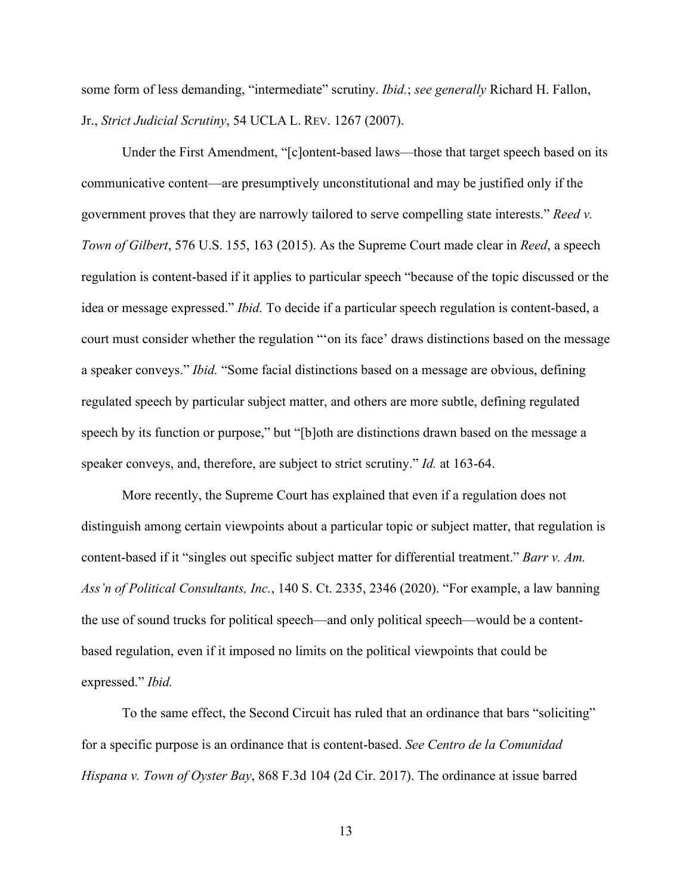some form of less demanding, "intermediate" scrutiny. *Ibid.*; *see generally* Richard H. Fallon, Jr., *Strict Judicial Scrutiny*, 54 UCLA L. REV. 1267 (2007).

Under the First Amendment, "[c]ontent-based laws—those that target speech based on its communicative content—are presumptively unconstitutional and may be justified only if the government proves that they are narrowly tailored to serve compelling state interests." *Reed v. Town of Gilbert*, 576 U.S. 155, 163 (2015). As the Supreme Court made clear in *Reed*, a speech regulation is content-based if it applies to particular speech "because of the topic discussed or the idea or message expressed." *Ibid.* To decide if a particular speech regulation is content-based, a court must consider whether the regulation "'on its face' draws distinctions based on the message a speaker conveys." *Ibid.* "Some facial distinctions based on a message are obvious, defining regulated speech by particular subject matter, and others are more subtle, defining regulated speech by its function or purpose," but "[b]oth are distinctions drawn based on the message a speaker conveys, and, therefore, are subject to strict scrutiny." *Id.* at 163-64.

More recently, the Supreme Court has explained that even if a regulation does not distinguish among certain viewpoints about a particular topic or subject matter, that regulation is content-based if it "singles out specific subject matter for differential treatment." *Barr v. Am. Ass'n of Political Consultants, Inc.*, 140 S. Ct. 2335, 2346 (2020). "For example, a law banning the use of sound trucks for political speech—and only political speech—would be a contentbased regulation, even if it imposed no limits on the political viewpoints that could be expressed." *Ibid.*

To the same effect, the Second Circuit has ruled that an ordinance that bars "soliciting" for a specific purpose is an ordinance that is content-based. *See Centro de la Comunidad Hispana v. Town of Oyster Bay*, 868 F.3d 104 (2d Cir. 2017). The ordinance at issue barred

13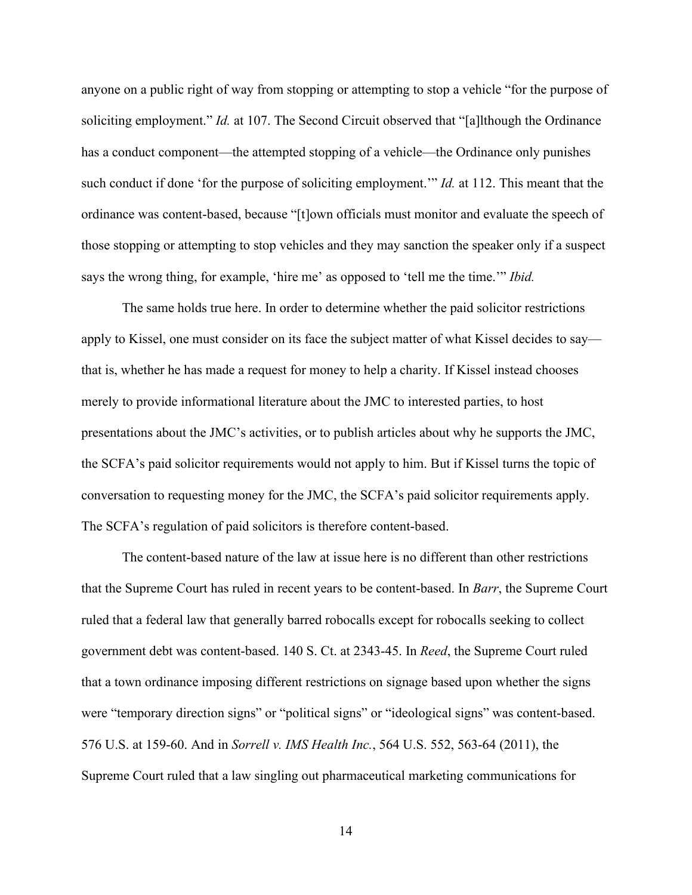anyone on a public right of way from stopping or attempting to stop a vehicle "for the purpose of soliciting employment." *Id.* at 107. The Second Circuit observed that "[a]lthough the Ordinance has a conduct component—the attempted stopping of a vehicle—the Ordinance only punishes such conduct if done 'for the purpose of soliciting employment.'" *Id.* at 112. This meant that the ordinance was content-based, because "[t]own officials must monitor and evaluate the speech of those stopping or attempting to stop vehicles and they may sanction the speaker only if a suspect says the wrong thing, for example, 'hire me' as opposed to 'tell me the time.'" *Ibid.* 

The same holds true here. In order to determine whether the paid solicitor restrictions apply to Kissel, one must consider on its face the subject matter of what Kissel decides to say that is, whether he has made a request for money to help a charity. If Kissel instead chooses merely to provide informational literature about the JMC to interested parties, to host presentations about the JMC's activities, or to publish articles about why he supports the JMC, the SCFA's paid solicitor requirements would not apply to him. But if Kissel turns the topic of conversation to requesting money for the JMC, the SCFA's paid solicitor requirements apply. The SCFA's regulation of paid solicitors is therefore content-based.

The content-based nature of the law at issue here is no different than other restrictions that the Supreme Court has ruled in recent years to be content-based. In *Barr*, the Supreme Court ruled that a federal law that generally barred robocalls except for robocalls seeking to collect government debt was content-based. 140 S. Ct. at 2343-45. In *Reed*, the Supreme Court ruled that a town ordinance imposing different restrictions on signage based upon whether the signs were "temporary direction signs" or "political signs" or "ideological signs" was content-based. 576 U.S. at 159-60. And in *Sorrell v. IMS Health Inc.*, 564 U.S. 552, 563-64 (2011), the Supreme Court ruled that a law singling out pharmaceutical marketing communications for

14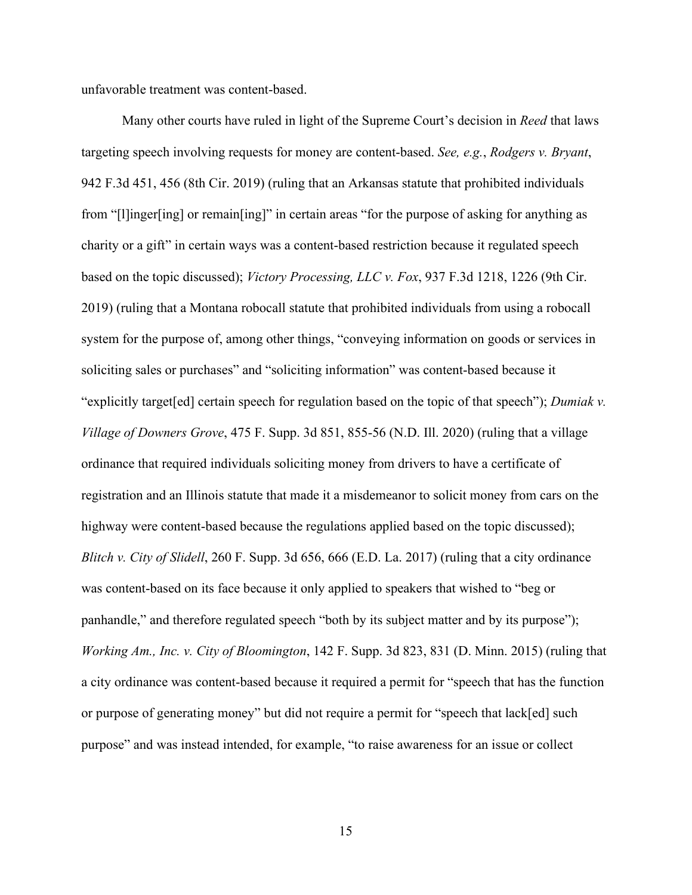unfavorable treatment was content-based.

Many other courts have ruled in light of the Supreme Court's decision in *Reed* that laws targeting speech involving requests for money are content-based. *See, e.g.*, *Rodgers v. Bryant*, 942 F.3d 451, 456 (8th Cir. 2019) (ruling that an Arkansas statute that prohibited individuals from "[l]inger[ing] or remain[ing]" in certain areas "for the purpose of asking for anything as charity or a gift" in certain ways was a content-based restriction because it regulated speech based on the topic discussed); *Victory Processing, LLC v. Fox*, 937 F.3d 1218, 1226 (9th Cir. 2019) (ruling that a Montana robocall statute that prohibited individuals from using a robocall system for the purpose of, among other things, "conveying information on goods or services in soliciting sales or purchases" and "soliciting information" was content-based because it "explicitly target[ed] certain speech for regulation based on the topic of that speech"); *Dumiak v. Village of Downers Grove*, 475 F. Supp. 3d 851, 855-56 (N.D. Ill. 2020) (ruling that a village ordinance that required individuals soliciting money from drivers to have a certificate of registration and an Illinois statute that made it a misdemeanor to solicit money from cars on the highway were content-based because the regulations applied based on the topic discussed); *Blitch v. City of Slidell*, 260 F. Supp. 3d 656, 666 (E.D. La. 2017) (ruling that a city ordinance was content-based on its face because it only applied to speakers that wished to "beg or panhandle," and therefore regulated speech "both by its subject matter and by its purpose"); *Working Am., Inc. v. City of Bloomington*, 142 F. Supp. 3d 823, 831 (D. Minn. 2015) (ruling that a city ordinance was content-based because it required a permit for "speech that has the function or purpose of generating money" but did not require a permit for "speech that lack[ed] such purpose" and was instead intended, for example, "to raise awareness for an issue or collect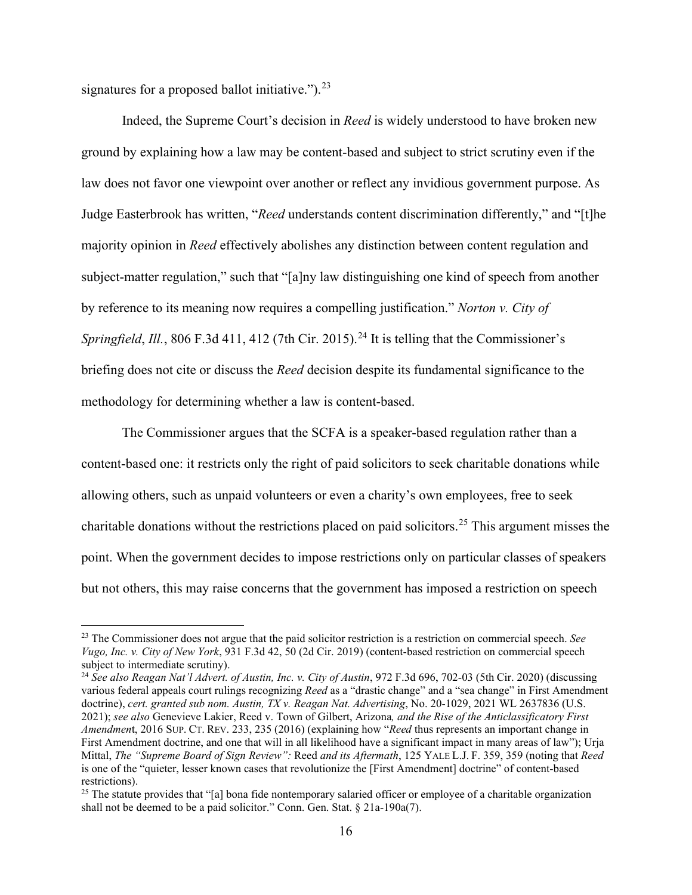signatures for a proposed ballot initiative." $)^{23}$ 

Indeed, the Supreme Court's decision in *Reed* is widely understood to have broken new ground by explaining how a law may be content-based and subject to strict scrutiny even if the law does not favor one viewpoint over another or reflect any invidious government purpose. As Judge Easterbrook has written, "*Reed* understands content discrimination differently," and "[t]he majority opinion in *Reed* effectively abolishes any distinction between content regulation and subject-matter regulation," such that "[a]ny law distinguishing one kind of speech from another by reference to its meaning now requires a compelling justification." *Norton v. City of Springfield*, *Ill.*, 806 F.3d 411, 412 (7th Cir. 2015).<sup>24</sup> It is telling that the Commissioner's briefing does not cite or discuss the *Reed* decision despite its fundamental significance to the methodology for determining whether a law is content-based.

The Commissioner argues that the SCFA is a speaker-based regulation rather than a content-based one: it restricts only the right of paid solicitors to seek charitable donations while allowing others, such as unpaid volunteers or even a charity's own employees, free to seek charitable donations without the restrictions placed on paid solicitors.<sup>25</sup> This argument misses the point. When the government decides to impose restrictions only on particular classes of speakers but not others, this may raise concerns that the government has imposed a restriction on speech

<sup>23</sup> The Commissioner does not argue that the paid solicitor restriction is a restriction on commercial speech. *See Vugo, Inc. v. City of New York*, 931 F.3d 42, 50 (2d Cir. 2019) (content-based restriction on commercial speech subject to intermediate scrutiny).

<sup>&</sup>lt;sup>24</sup> See also Reagan Nat'l Advert. of Austin, Inc. v. City of Austin, 972 F.3d 696, 702-03 (5th Cir. 2020) (discussing various federal appeals court rulings recognizing *Reed* as a "drastic change" and a "sea change" in First Amendment doctrine), *cert. granted sub nom. Austin, TX v. Reagan Nat. Advertising*, No. 20-1029, 2021 WL 2637836 (U.S. 2021); *see also* Genevieve Lakier, Reed v. Town of Gilbert, Arizona*, and the Rise of the Anticlassificatory First Amendmen*t, 2016 SUP. CT. REV. 233, 235 (2016) (explaining how "*Reed* thus represents an important change in First Amendment doctrine, and one that will in all likelihood have a significant impact in many areas of law"); Urja Mittal, *The "Supreme Board of Sign Review":* Reed *and its Aftermath*, 125 YALE L.J. F. 359, 359 (noting that *Reed* is one of the "quieter, lesser known cases that revolutionize the [First Amendment] doctrine" of content-based restrictions).

 $^{25}$  The statute provides that "[a] bona fide nontemporary salaried officer or employee of a charitable organization shall not be deemed to be a paid solicitor." Conn. Gen. Stat. § 21a-190a(7).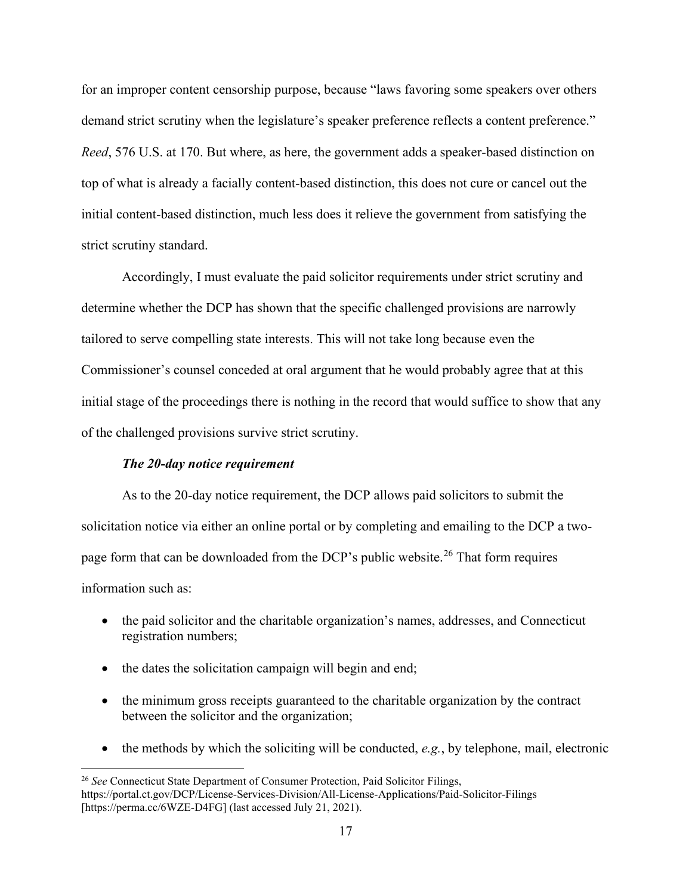for an improper content censorship purpose, because "laws favoring some speakers over others demand strict scrutiny when the legislature's speaker preference reflects a content preference." *Reed*, 576 U.S. at 170. But where, as here, the government adds a speaker-based distinction on top of what is already a facially content-based distinction, this does not cure or cancel out the initial content-based distinction, much less does it relieve the government from satisfying the strict scrutiny standard.

Accordingly, I must evaluate the paid solicitor requirements under strict scrutiny and determine whether the DCP has shown that the specific challenged provisions are narrowly tailored to serve compelling state interests. This will not take long because even the Commissioner's counsel conceded at oral argument that he would probably agree that at this initial stage of the proceedings there is nothing in the record that would suffice to show that any of the challenged provisions survive strict scrutiny.

### *The 20-day notice requirement*

As to the 20-day notice requirement, the DCP allows paid solicitors to submit the solicitation notice via either an online portal or by completing and emailing to the DCP a twopage form that can be downloaded from the DCP's public website.<sup>26</sup> That form requires information such as:

- the paid solicitor and the charitable organization's names, addresses, and Connecticut registration numbers;
- the dates the solicitation campaign will begin and end;
- the minimum gross receipts guaranteed to the charitable organization by the contract between the solicitor and the organization;
- the methods by which the soliciting will be conducted, *e.g.*, by telephone, mail, electronic

<sup>26</sup> *See* Connecticut State Department of Consumer Protection, Paid Solicitor Filings, https://portal.ct.gov/DCP/License-Services-Division/All-License-Applications/Paid-Solicitor-Filings [https://perma.cc/6WZE-D4FG] (last accessed July 21, 2021).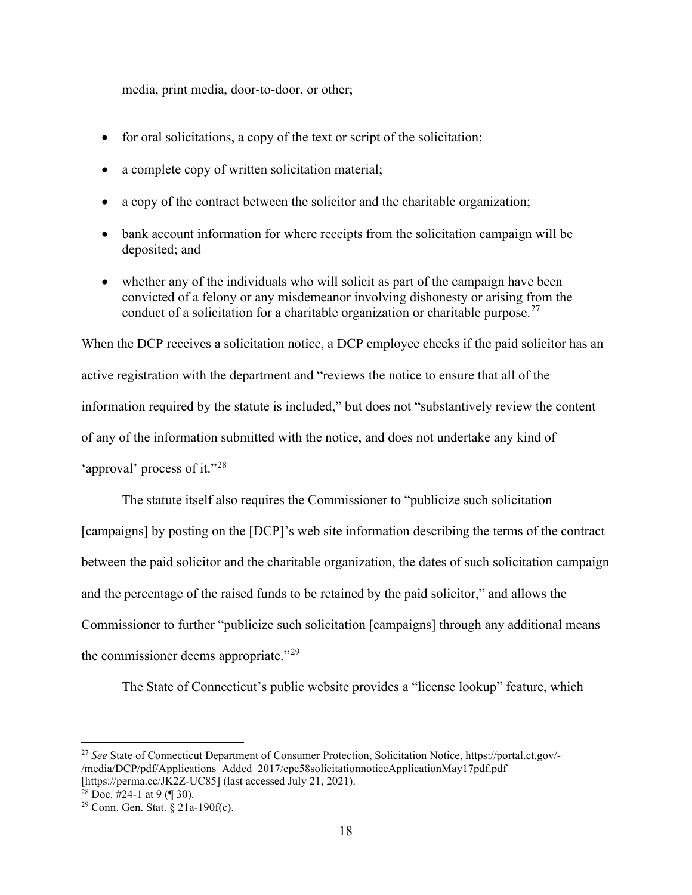media, print media, door-to-door, or other;

- for oral solicitations, a copy of the text or script of the solicitation;
- a complete copy of written solicitation material;
- a copy of the contract between the solicitor and the charitable organization;
- bank account information for where receipts from the solicitation campaign will be deposited; and
- whether any of the individuals who will solicit as part of the campaign have been convicted of a felony or any misdemeanor involving dishonesty or arising from the conduct of a solicitation for a charitable organization or charitable purpose.<sup>27</sup>

When the DCP receives a solicitation notice, a DCP employee checks if the paid solicitor has an active registration with the department and "reviews the notice to ensure that all of the information required by the statute is included," but does not "substantively review the content of any of the information submitted with the notice, and does not undertake any kind of 'approval' process of it."<sup>28</sup>

The statute itself also requires the Commissioner to "publicize such solicitation [campaigns] by posting on the [DCP]'s web site information describing the terms of the contract between the paid solicitor and the charitable organization, the dates of such solicitation campaign and the percentage of the raised funds to be retained by the paid solicitor," and allows the Commissioner to further "publicize such solicitation [campaigns] through any additional means the commissioner deems appropriate."<sup>29</sup>

The State of Connecticut's public website provides a "license lookup" feature, which

<sup>27</sup> *See* State of Connecticut Department of Consumer Protection, Solicitation Notice, https://portal.ct.gov/- /media/DCP/pdf/Applications\_Added\_2017/cpc58solicitationnoticeApplicationMay17pdf.pdf [https://perma.cc/JK2Z-UC85] (last accessed July 21, 2021).<br><sup>28</sup> Doc. #24-1 at 9 (¶ 30).<br><sup>29</sup> Conn. Gen. Stat. § 21a-190f(c).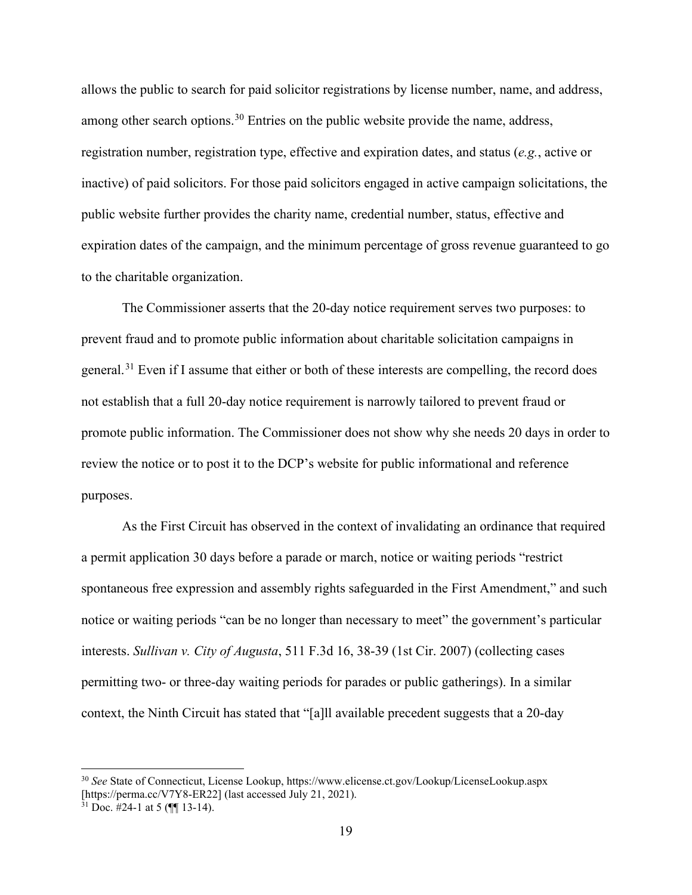allows the public to search for paid solicitor registrations by license number, name, and address, among other search options.<sup>30</sup> Entries on the public website provide the name, address, registration number, registration type, effective and expiration dates, and status (*e.g.*, active or inactive) of paid solicitors. For those paid solicitors engaged in active campaign solicitations, the public website further provides the charity name, credential number, status, effective and expiration dates of the campaign, and the minimum percentage of gross revenue guaranteed to go to the charitable organization.

The Commissioner asserts that the 20-day notice requirement serves two purposes: to prevent fraud and to promote public information about charitable solicitation campaigns in general.<sup>31</sup> Even if I assume that either or both of these interests are compelling, the record does not establish that a full 20-day notice requirement is narrowly tailored to prevent fraud or promote public information. The Commissioner does not show why she needs 20 days in order to review the notice or to post it to the DCP's website for public informational and reference purposes.

As the First Circuit has observed in the context of invalidating an ordinance that required a permit application 30 days before a parade or march, notice or waiting periods "restrict spontaneous free expression and assembly rights safeguarded in the First Amendment," and such notice or waiting periods "can be no longer than necessary to meet" the government's particular interests. *Sullivan v. City of Augusta*, 511 F.3d 16, 38-39 (1st Cir. 2007) (collecting cases permitting two- or three-day waiting periods for parades or public gatherings). In a similar context, the Ninth Circuit has stated that "[a]ll available precedent suggests that a 20-day

<sup>30</sup> *See* State of Connecticut, License Lookup, https://www.elicense.ct.gov/Lookup/LicenseLookup.aspx [https://perma.cc/V7Y8-ER22] (last accessed July 21, 2021).<br><sup>31</sup> Doc. #24-1 at 5 (¶[ 13-14).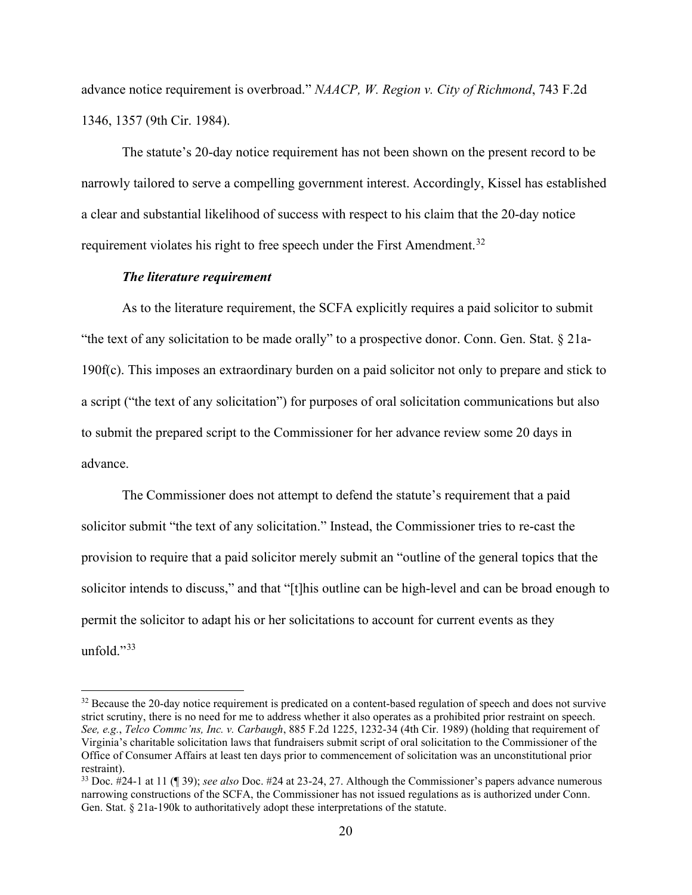advance notice requirement is overbroad." *NAACP, W. Region v. City of Richmond*, 743 F.2d 1346, 1357 (9th Cir. 1984).

The statute's 20-day notice requirement has not been shown on the present record to be narrowly tailored to serve a compelling government interest. Accordingly, Kissel has established a clear and substantial likelihood of success with respect to his claim that the 20-day notice requirement violates his right to free speech under the First Amendment.<sup>32</sup>

### *The literature requirement*

As to the literature requirement, the SCFA explicitly requires a paid solicitor to submit "the text of any solicitation to be made orally" to a prospective donor. Conn. Gen. Stat. § 21a-190f(c). This imposes an extraordinary burden on a paid solicitor not only to prepare and stick to a script ("the text of any solicitation") for purposes of oral solicitation communications but also to submit the prepared script to the Commissioner for her advance review some 20 days in advance.

The Commissioner does not attempt to defend the statute's requirement that a paid solicitor submit "the text of any solicitation." Instead, the Commissioner tries to re-cast the provision to require that a paid solicitor merely submit an "outline of the general topics that the solicitor intends to discuss," and that "[t]his outline can be high-level and can be broad enough to permit the solicitor to adapt his or her solicitations to account for current events as they unfold. $"33$ 

<sup>&</sup>lt;sup>32</sup> Because the 20-day notice requirement is predicated on a content-based regulation of speech and does not survive strict scrutiny, there is no need for me to address whether it also operates as a prohibited prior restraint on speech. *See, e.g.*, *Telco Commc'ns, Inc. v. Carbaugh*, 885 F.2d 1225, 1232-34 (4th Cir. 1989) (holding that requirement of Virginia's charitable solicitation laws that fundraisers submit script of oral solicitation to the Commissioner of the Office of Consumer Affairs at least ten days prior to commencement of solicitation was an unconstitutional prior restraint).

<sup>33</sup> Doc. #24-1 at 11 (¶ 39); *see also* Doc. #24 at 23-24, 27. Although the Commissioner's papers advance numerous narrowing constructions of the SCFA, the Commissioner has not issued regulations as is authorized under Conn. Gen. Stat. § 21a-190k to authoritatively adopt these interpretations of the statute.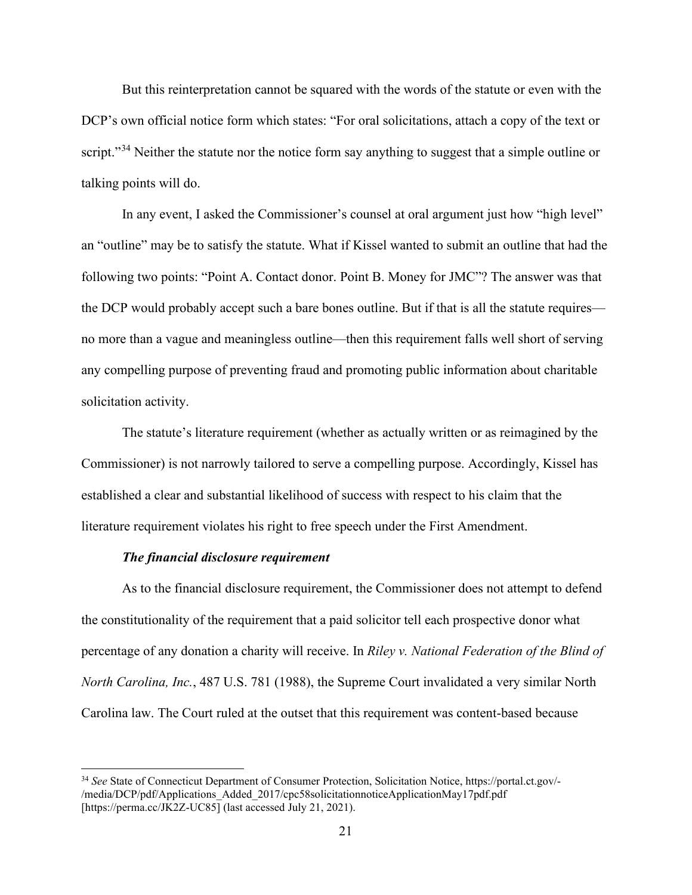But this reinterpretation cannot be squared with the words of the statute or even with the DCP's own official notice form which states: "For oral solicitations, attach a copy of the text or script."<sup>34</sup> Neither the statute nor the notice form say anything to suggest that a simple outline or talking points will do.

In any event, I asked the Commissioner's counsel at oral argument just how "high level" an "outline" may be to satisfy the statute. What if Kissel wanted to submit an outline that had the following two points: "Point A. Contact donor. Point B. Money for JMC"? The answer was that the DCP would probably accept such a bare bones outline. But if that is all the statute requires no more than a vague and meaningless outline—then this requirement falls well short of serving any compelling purpose of preventing fraud and promoting public information about charitable solicitation activity.

The statute's literature requirement (whether as actually written or as reimagined by the Commissioner) is not narrowly tailored to serve a compelling purpose. Accordingly, Kissel has established a clear and substantial likelihood of success with respect to his claim that the literature requirement violates his right to free speech under the First Amendment.

### *The financial disclosure requirement*

As to the financial disclosure requirement, the Commissioner does not attempt to defend the constitutionality of the requirement that a paid solicitor tell each prospective donor what percentage of any donation a charity will receive. In *Riley v. National Federation of the Blind of North Carolina, Inc.*, 487 U.S. 781 (1988), the Supreme Court invalidated a very similar North Carolina law. The Court ruled at the outset that this requirement was content-based because

<sup>34</sup> *See* State of Connecticut Department of Consumer Protection, Solicitation Notice, https://portal.ct.gov/- /media/DCP/pdf/Applications\_Added\_2017/cpc58solicitationnoticeApplicationMay17pdf.pdf [https://perma.cc/JK2Z-UC85] (last accessed July 21, 2021).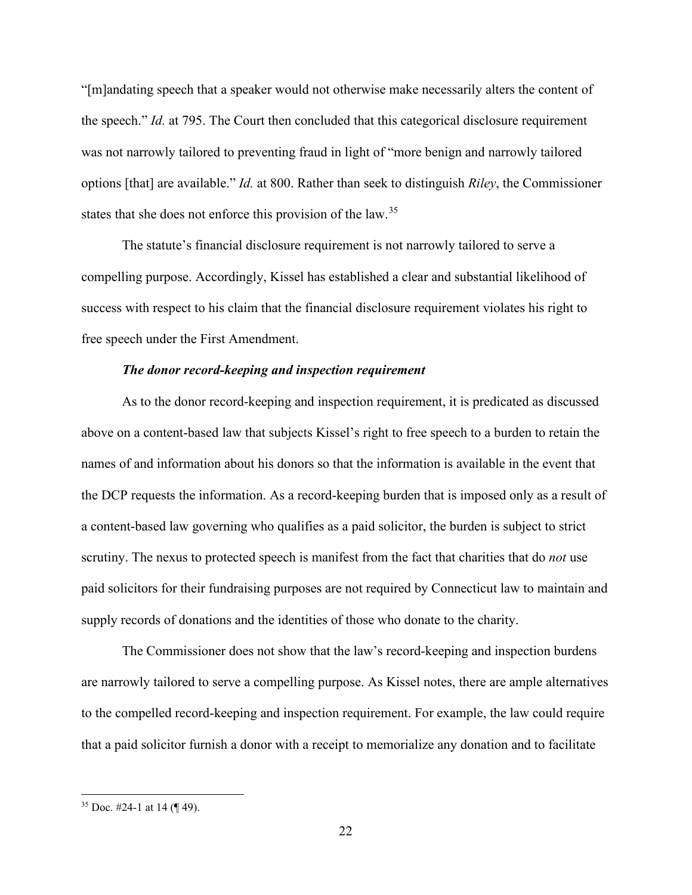"[m]andating speech that a speaker would not otherwise make necessarily alters the content of the speech." *Id.* at 795. The Court then concluded that this categorical disclosure requirement was not narrowly tailored to preventing fraud in light of "more benign and narrowly tailored options [that] are available." *Id.* at 800. Rather than seek to distinguish *Riley*, the Commissioner states that she does not enforce this provision of the law.<sup>35</sup>

The statute's financial disclosure requirement is not narrowly tailored to serve a compelling purpose. Accordingly, Kissel has established a clear and substantial likelihood of success with respect to his claim that the financial disclosure requirement violates his right to free speech under the First Amendment.

## *The donor record-keeping and inspection requirement*

As to the donor record-keeping and inspection requirement, it is predicated as discussed above on a content-based law that subjects Kissel's right to free speech to a burden to retain the names of and information about his donors so that the information is available in the event that the DCP requests the information. As a record-keeping burden that is imposed only as a result of a content-based law governing who qualifies as a paid solicitor, the burden is subject to strict scrutiny. The nexus to protected speech is manifest from the fact that charities that do *not* use paid solicitors for their fundraising purposes are not required by Connecticut law to maintain and supply records of donations and the identities of those who donate to the charity.

The Commissioner does not show that the law's record-keeping and inspection burdens are narrowly tailored to serve a compelling purpose. As Kissel notes, there are ample alternatives to the compelled record-keeping and inspection requirement. For example, the law could require that a paid solicitor furnish a donor with a receipt to memorialize any donation and to facilitate

 $35$  Doc. #24-1 at 14 (¶ 49).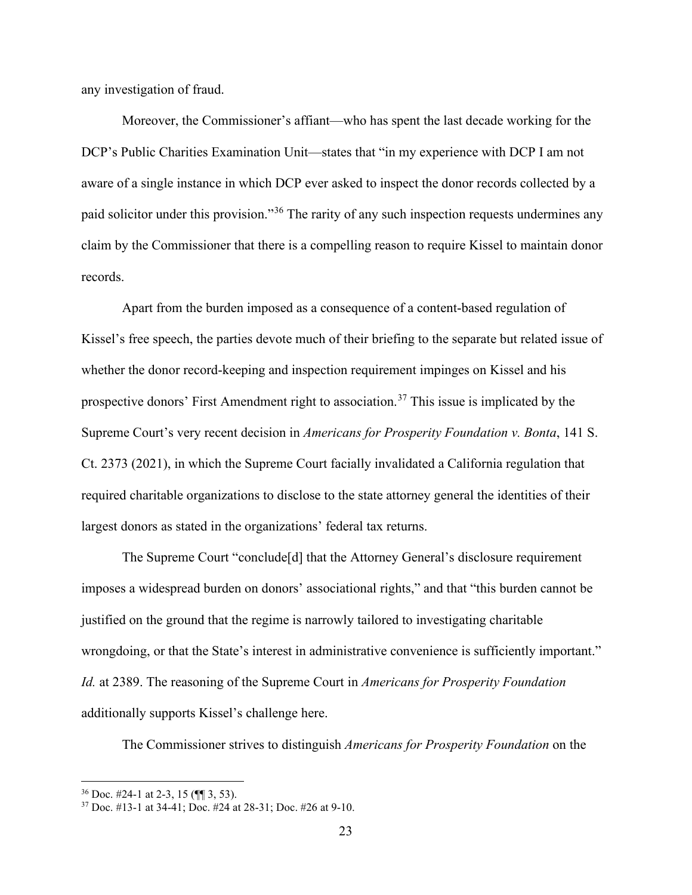any investigation of fraud.

Moreover, the Commissioner's affiant—who has spent the last decade working for the DCP's Public Charities Examination Unit—states that "in my experience with DCP I am not aware of a single instance in which DCP ever asked to inspect the donor records collected by a paid solicitor under this provision."<sup>36</sup> The rarity of any such inspection requests undermines any claim by the Commissioner that there is a compelling reason to require Kissel to maintain donor records.

Apart from the burden imposed as a consequence of a content-based regulation of Kissel's free speech, the parties devote much of their briefing to the separate but related issue of whether the donor record-keeping and inspection requirement impinges on Kissel and his prospective donors' First Amendment right to association.<sup>37</sup> This issue is implicated by the Supreme Court's very recent decision in *Americans for Prosperity Foundation v. Bonta*, 141 S. Ct. 2373 (2021), in which the Supreme Court facially invalidated a California regulation that required charitable organizations to disclose to the state attorney general the identities of their largest donors as stated in the organizations' federal tax returns.

The Supreme Court "conclude[d] that the Attorney General's disclosure requirement imposes a widespread burden on donors' associational rights," and that "this burden cannot be justified on the ground that the regime is narrowly tailored to investigating charitable wrongdoing, or that the State's interest in administrative convenience is sufficiently important." *Id.* at 2389. The reasoning of the Supreme Court in *Americans for Prosperity Foundation* additionally supports Kissel's challenge here.

The Commissioner strives to distinguish *Americans for Prosperity Foundation* on the

 $36$  Doc. #24-1 at 2-3, 15 ( $\llbracket \P \rrbracket$  3, 53).

<sup>37</sup> Doc. #13-1 at 34-41; Doc. #24 at 28-31; Doc. #26 at 9-10.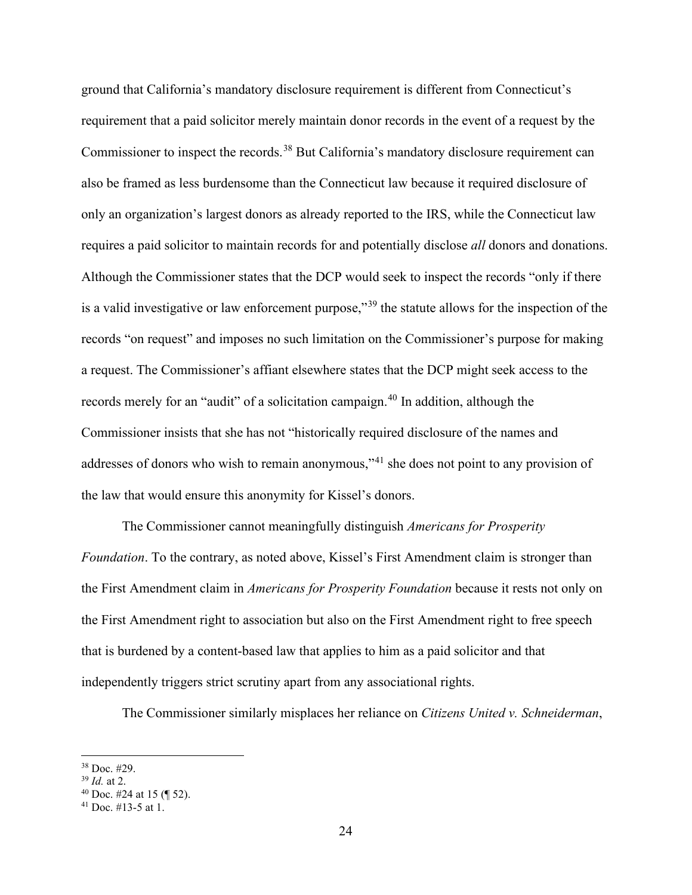ground that California's mandatory disclosure requirement is different from Connecticut's requirement that a paid solicitor merely maintain donor records in the event of a request by the Commissioner to inspect the records.<sup>38</sup> But California's mandatory disclosure requirement can also be framed as less burdensome than the Connecticut law because it required disclosure of only an organization's largest donors as already reported to the IRS, while the Connecticut law requires a paid solicitor to maintain records for and potentially disclose *all* donors and donations. Although the Commissioner states that the DCP would seek to inspect the records "only if there is a valid investigative or law enforcement purpose,"<sup>39</sup> the statute allows for the inspection of the records "on request" and imposes no such limitation on the Commissioner's purpose for making a request. The Commissioner's affiant elsewhere states that the DCP might seek access to the records merely for an "audit" of a solicitation campaign.<sup>40</sup> In addition, although the Commissioner insists that she has not "historically required disclosure of the names and addresses of donors who wish to remain anonymous,"<sup>41</sup> she does not point to any provision of the law that would ensure this anonymity for Kissel's donors.

The Commissioner cannot meaningfully distinguish *Americans for Prosperity Foundation*. To the contrary, as noted above, Kissel's First Amendment claim is stronger than the First Amendment claim in *Americans for Prosperity Foundation* because it rests not only on the First Amendment right to association but also on the First Amendment right to free speech that is burdened by a content-based law that applies to him as a paid solicitor and that independently triggers strict scrutiny apart from any associational rights.

The Commissioner similarly misplaces her reliance on *Citizens United v. Schneiderman*,

<sup>38</sup> Doc. #29.

<sup>39</sup> *Id.* at 2.

 $40$  Doc. #24 at 15 (¶ 52).

<sup>&</sup>lt;sup>41</sup> Doc. #13-5 at 1.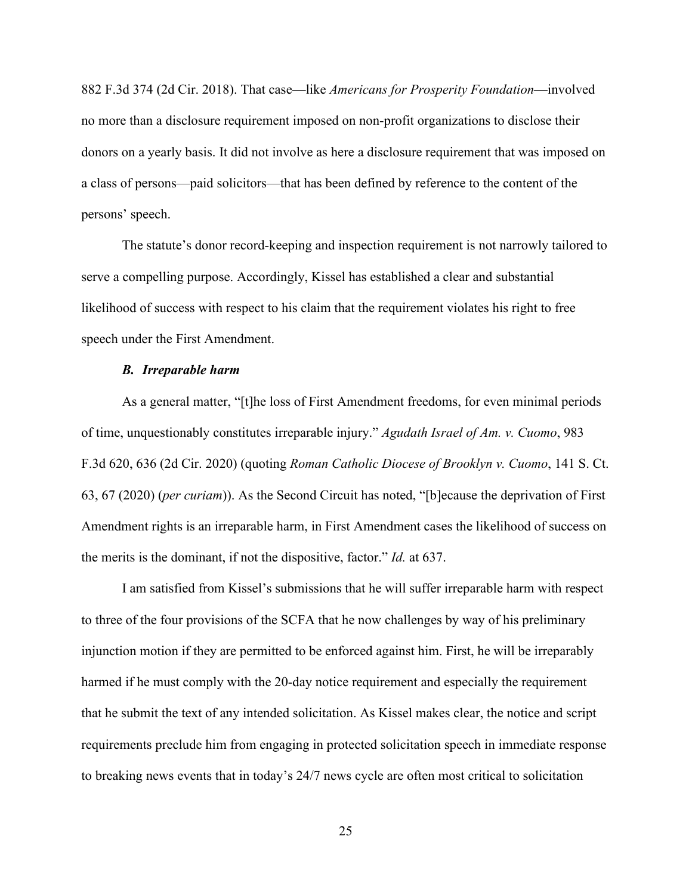882 F.3d 374 (2d Cir. 2018). That case—like *Americans for Prosperity Foundation*—involved no more than a disclosure requirement imposed on non-profit organizations to disclose their donors on a yearly basis. It did not involve as here a disclosure requirement that was imposed on a class of persons—paid solicitors—that has been defined by reference to the content of the persons' speech.

The statute's donor record-keeping and inspection requirement is not narrowly tailored to serve a compelling purpose. Accordingly, Kissel has established a clear and substantial likelihood of success with respect to his claim that the requirement violates his right to free speech under the First Amendment.

### *B. Irreparable harm*

As a general matter, "[t]he loss of First Amendment freedoms, for even minimal periods of time, unquestionably constitutes irreparable injury." *Agudath Israel of Am. v. Cuomo*, 983 F.3d 620, 636 (2d Cir. 2020) (quoting *Roman Catholic Diocese of Brooklyn v. Cuomo*, 141 S. Ct. 63, 67 (2020) (*per curiam*)). As the Second Circuit has noted, "[b]ecause the deprivation of First Amendment rights is an irreparable harm, in First Amendment cases the likelihood of success on the merits is the dominant, if not the dispositive, factor." *Id.* at 637.

I am satisfied from Kissel's submissions that he will suffer irreparable harm with respect to three of the four provisions of the SCFA that he now challenges by way of his preliminary injunction motion if they are permitted to be enforced against him. First, he will be irreparably harmed if he must comply with the 20-day notice requirement and especially the requirement that he submit the text of any intended solicitation. As Kissel makes clear, the notice and script requirements preclude him from engaging in protected solicitation speech in immediate response to breaking news events that in today's 24/7 news cycle are often most critical to solicitation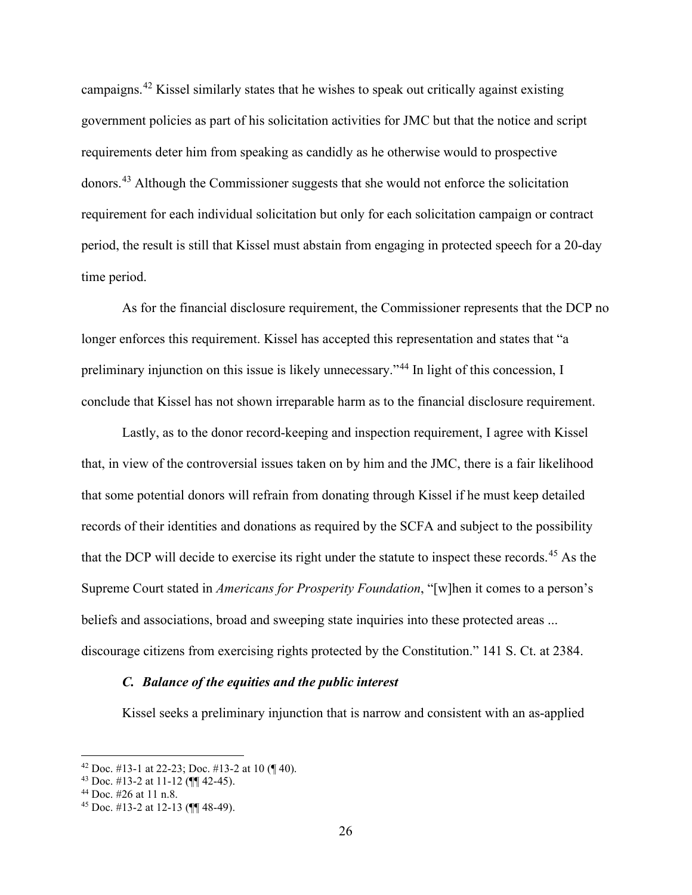campaigns.<sup>42</sup> Kissel similarly states that he wishes to speak out critically against existing government policies as part of his solicitation activities for JMC but that the notice and script requirements deter him from speaking as candidly as he otherwise would to prospective donors.<sup>43</sup> Although the Commissioner suggests that she would not enforce the solicitation requirement for each individual solicitation but only for each solicitation campaign or contract period, the result is still that Kissel must abstain from engaging in protected speech for a 20-day time period.

As for the financial disclosure requirement, the Commissioner represents that the DCP no longer enforces this requirement. Kissel has accepted this representation and states that "a preliminary injunction on this issue is likely unnecessary."<sup>44</sup> In light of this concession, I conclude that Kissel has not shown irreparable harm as to the financial disclosure requirement.

Lastly, as to the donor record-keeping and inspection requirement, I agree with Kissel that, in view of the controversial issues taken on by him and the JMC, there is a fair likelihood that some potential donors will refrain from donating through Kissel if he must keep detailed records of their identities and donations as required by the SCFA and subject to the possibility that the DCP will decide to exercise its right under the statute to inspect these records.<sup>45</sup> As the Supreme Court stated in *Americans for Prosperity Foundation*, "[w]hen it comes to a person's beliefs and associations, broad and sweeping state inquiries into these protected areas ... discourage citizens from exercising rights protected by the Constitution." 141 S. Ct. at 2384.

## *C. Balance of the equities and the public interest*

Kissel seeks a preliminary injunction that is narrow and consistent with an as-applied

<sup>&</sup>lt;sup>42</sup> Doc. #13-1 at 22-23; Doc. #13-2 at 10  $($  $\parallel$  40).

<sup>&</sup>lt;sup>43</sup> Doc. #13-2 at 11-12 ( $\P$  42-45).<br><sup>44</sup> Doc. #26 at 11 n.8.

<sup>45</sup> Doc. #13-2 at 12-13 (¶¶ 48-49).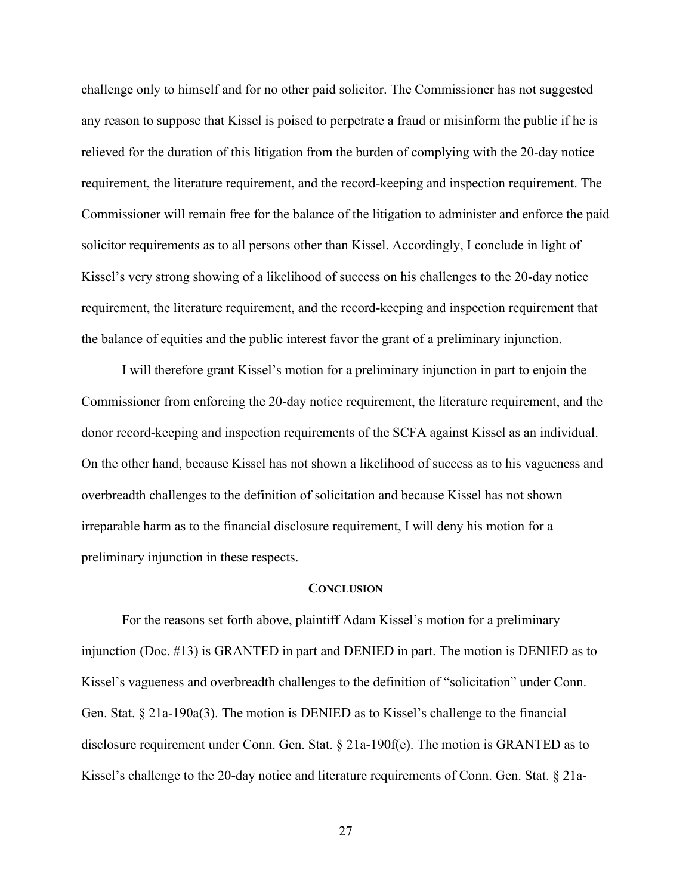challenge only to himself and for no other paid solicitor. The Commissioner has not suggested any reason to suppose that Kissel is poised to perpetrate a fraud or misinform the public if he is relieved for the duration of this litigation from the burden of complying with the 20-day notice requirement, the literature requirement, and the record-keeping and inspection requirement. The Commissioner will remain free for the balance of the litigation to administer and enforce the paid solicitor requirements as to all persons other than Kissel. Accordingly, I conclude in light of Kissel's very strong showing of a likelihood of success on his challenges to the 20-day notice requirement, the literature requirement, and the record-keeping and inspection requirement that the balance of equities and the public interest favor the grant of a preliminary injunction.

I will therefore grant Kissel's motion for a preliminary injunction in part to enjoin the Commissioner from enforcing the 20-day notice requirement, the literature requirement, and the donor record-keeping and inspection requirements of the SCFA against Kissel as an individual. On the other hand, because Kissel has not shown a likelihood of success as to his vagueness and overbreadth challenges to the definition of solicitation and because Kissel has not shown irreparable harm as to the financial disclosure requirement, I will deny his motion for a preliminary injunction in these respects.

#### **CONCLUSION**

For the reasons set forth above, plaintiff Adam Kissel's motion for a preliminary injunction (Doc. #13) is GRANTED in part and DENIED in part. The motion is DENIED as to Kissel's vagueness and overbreadth challenges to the definition of "solicitation" under Conn. Gen. Stat. § 21a-190a(3). The motion is DENIED as to Kissel's challenge to the financial disclosure requirement under Conn. Gen. Stat. § 21a-190f(e). The motion is GRANTED as to Kissel's challenge to the 20-day notice and literature requirements of Conn. Gen. Stat. § 21a